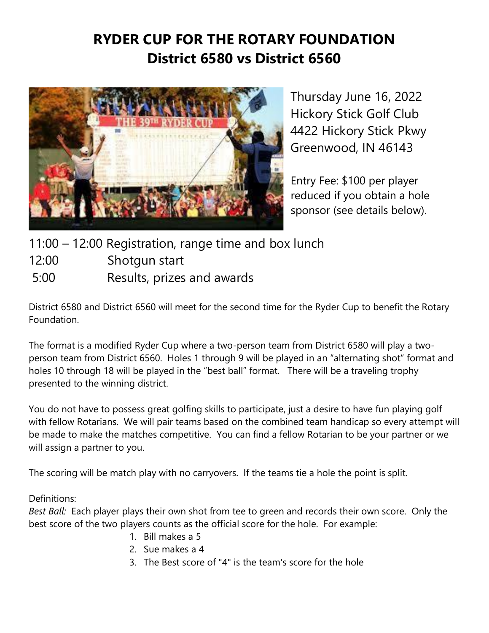## **RYDER CUP FOR THE ROTARY FOUNDATION District 6580 vs District 6560**



Thursday June 16, 2022 Hickory Stick Golf Club 4422 Hickory Stick Pkwy Greenwood, IN 46143

Entry Fee: \$100 per player reduced if you obtain a hole sponsor (see details below).

11:00 – 12:00 Registration, range time and box lunch

12:00 Shotgun start

5:00 Results, prizes and awards

District 6580 and District 6560 will meet for the second time for the Ryder Cup to benefit the Rotary Foundation.

The format is a modified Ryder Cup where a two-person team from District 6580 will play a twoperson team from District 6560. Holes 1 through 9 will be played in an "alternating shot" format and holes 10 through 18 will be played in the "best ball" format. There will be a traveling trophy presented to the winning district.

You do not have to possess great golfing skills to participate, just a desire to have fun playing golf with fellow Rotarians. We will pair teams based on the combined team handicap so every attempt will be made to make the matches competitive. You can find a fellow Rotarian to be your partner or we will assign a partner to you.

The scoring will be match play with no carryovers. If the teams tie a hole the point is split.

Definitions:

*Best Ball:* Each player plays their own shot from tee to green and records their own score. Only the best score of the two players counts as the official score for the hole. For example:

- 1. Bill makes a 5
- 2. Sue makes a 4
- 3. The Best score of "4" is the team's score for the hole